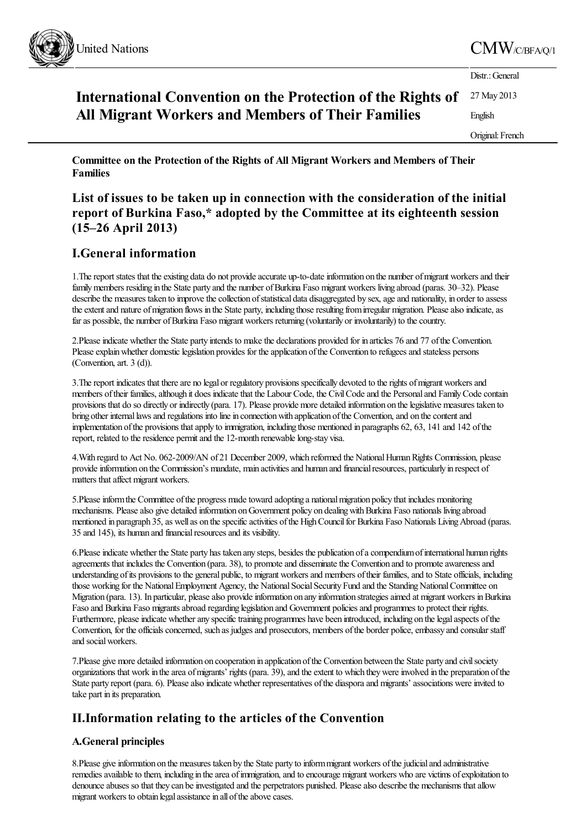

#### **International Convention on the Protection of the Rights of All Migrant Workers and Members of Their Families** 27 May 2013 English

Original: French

Distr.: General

**Committee on the Protection of the Rights of All Migrant Workers and Members of Their Families**

## **List of issues to be taken up in connection with the consideration of the initial report of Burkina Faso,\* adopted by the Committee at its eighteenth session (15–26 April 2013)**

## **I.General information**

1. The report states that the existing data do not provide accurate up-to-date information on the number of migrant workers and their family members residing in the State party and the number of Burkina Faso migrant workers living abroad (paras. 30–32). Please describe the measures taken to improve the collection of statistical data disaggregated by sex, age and nationality, in order to assess the extent and nature of migration flows in the State party, including those resulting from irregular migration. Please also indicate, as far as possible, the number of Burkina Faso migrant workers returning (voluntarily or involuntarily) to the country.

2. Please indicate whether the State party intends to make the declarations provided for in articles 76 and 77 of the Convention. Please explain whether domestic legislation provides for the application of the Convention to refugees and stateless persons (Convention,art. 3 (d)).

3. The report indicates that there are no legal or regulatory provisions specifically devoted to the rights of migrant workers and members of their families, although it does indicate that the Labour Code, the Civil Code and the Personal and Family Code contain provisions that do so directly or indirectly (para. 17). Please provide more detailed information on thelegislative measures taken to bring other internal laws and regulations into line in connection with application of the Convention, and on the content and implementation ofthe provisions thatapply to immigration, including those mentioned in paragraphs 62, 63, 141 and 142 ofthe report, related to the residence permit and the 12-month renewable long-stay visa.

4. With regard to Act No. 062-2009/AN of 21 December 2009, which reformed the National Human Rights Commission, please provide information on the Commission's mandate, main activities and human and financial resources, particularly in respect of matters that affect migrant workers.

5.Pleaseinformthe Committee ofthe progress madetoward adopting a nationalmigration policy that includes monitoring mechanisms. Please also give detailed information on Government policy on dealing with Burkina Faso nationals living abroad mentioned in paragraph 35, as well as on the specific activities of the High Council for Burkina Faso Nationals Living Abroad (paras. 35 and 145), its human and financial resources and its visibility.

6.Pleaseindicate whether the State party has taken any steps, besides the publication ofacompendiumofinternational human rights agreements that includes the Convention (para. 38), to promote and disseminate the Convention and to promote awareness and understanding of its provisions to the general public, to migrant workers and members of their families, and to State officials, including those working for the National Employment Agency, the National Social Security Fund and the Standing National Committee on Migration (para. 13). In particular, please also provide information on any information strategies aimed at migrant workers in Burkina Faso and Burkina Faso migrants abroad regarding legislation and Government policies and programmes to protect their rights. Furthermore, please indicate whether any specific training programmes have been introduced, including on the legal aspects of the Convention, for the officials concerned, such as judges and prosecutors, members of the border police, embassy and consular staff and social workers.

7.Please give more detailed information on cooperation in application ofthe Convention between the State party and civilsociety organizations that work in the area of migrants' rights (para. 39), and the extent to which they were involved in the preparation of the State party report (para. 6). Please also indicate whether representatives of the diaspora and migrants' associations were invited to take part in its preparation.

# **II.Information relating to the articles of the Convention**

## **A.General principles**

8. Please give information on the measures taken by the State party to inform migrant workers of the judicial and administrative remedies available to them, including in the area of immigration, and to encourage migrant workers who are victims of exploitation to denounce abuses so that they can be investigated and the perpetrators punished. Please also describe the mechanisms that allow migrant workers to obtain legal assistance in all of the above cases.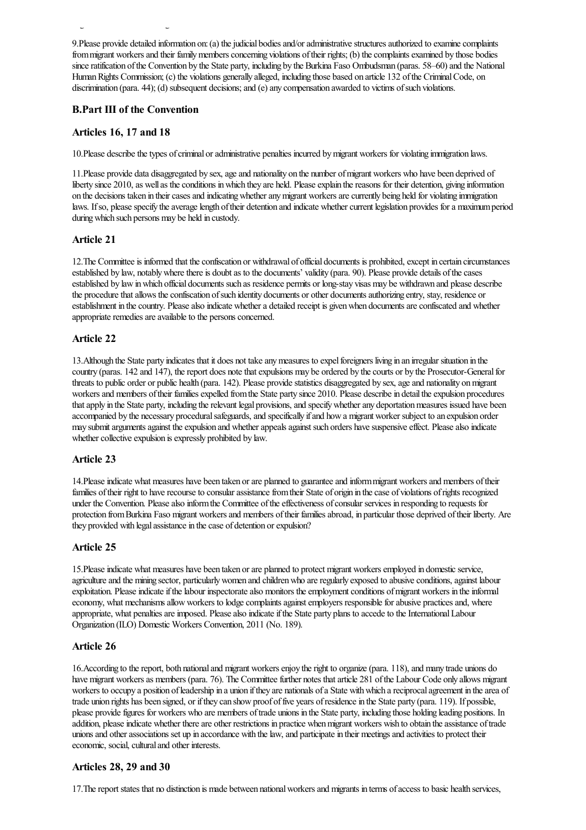9. Please provide detailed information on: (a) the judicial bodies and/or administrative structures authorized to examine complaints from migrant workers and their family members concerning violations of their rights; (b) the complaints examined by those bodies since ratification of the Convention by the State party, including by the Burkina Faso Ombudsman (paras. 58–60) and the National Human Rights Commission; (c) the violations generally alleged, including those based on article 132 of the Criminal Code, on discrimination (para. 44); (d) subsequent decisions; and (e) any compensation awarded to victims of such violations.

## **B.Part III of the Convention**

migrant workers to obtain legalassistancein all oftheabovecases.

## **Articles 16, 17 and 18**

10.Please describethetypes ofcriminal oradministrative penalties incurred bymigrant workers for violating immigration laws.

11. Please provide data disaggregated by sex, age and nationality on the number of migrant workers who have been deprived of liberty since 2010, as well as the conditions in which they are held. Please explain the reasons for their detention, giving information on the decisions taken in their cases and indicating whether any migrant workers are currently being held for violating immigration laws. If so, please specify the average length of their detention and indicate whether current legislation provides for a maximum period duringwhich such persons may be held in custody.

### **Article 21**

12. The Committee is informed that the confiscation or withdrawal of official documents is prohibited, except in certain circumstances established by law, notably where there is doubt as to the documents' validity (para. 90). Please provide details of the cases established by law in which official documents such as residence permits or long-stay visas may be withdrawn and please describe the procedure that allows the confiscation of such identity documents or other documents authorizing entry, stay, residence or establishment in the country. Please also indicate whether a detailed receipt is given when documents are confiscated and whether appropriate remedies are available to the persons concerned.

### **Article 22**

13.Although the State party indicates that it does not takeanymeasures to expelforeigners living in an irregular situation in the country (paras. 142 and 147), the report does note that expulsions may be ordered by the courts or by the Prosecutor-General for threats to public order or public health (para. 142). Please provide statistics disaggregated by sex, age and nationality on migrant workers and members of their families expelled from the State party since 2010. Please describe in detail the expulsion procedures that apply in the State party, including the relevant legal provisions, and specify whether any deportation measures issued have been accompanied by the necessary procedural safeguards, and specifically if and how a migrant worker subject to an expulsion order may submit arguments against the expulsion and whether appeals against such orders have suspensive effect. Please also indicate whether collective expulsion is expressly prohibited by law.

### **Article 23**

14. Please indicate what measures have been taken or are planned to guarantee and inform migrant workers and members of their families of their right to have recourse to consular assistance from their State of origin in the case of violations of rights recognized under the Convention. Please also inform the Committee of the effectiveness of consular services in responding to requests for protection from Burkina Faso migrant workers and members of their families abroad, in particular those deprived of their liberty. Are they provided with legal assistance in the case of detention or expulsion?

### **Article 25**

15. Please indicate what measures have been taken or are planned to protect migrant workers employed in domestic service, agriculture and the mining sector, particularly women and children who are regularly exposed to abusive conditions, against labour exploitation. Please indicate if the labour inspectorate also monitors the employment conditions of migrant workers in the informal economy, what mechanisms allow workers to lodge complaints against employers responsible for abusive practices and, where appropriate, what penalties are imposed. Please also indicate if the State party plans to accede to the International Labour Organization (ILO) Domestic Workers Convention, 2011 (No. 189).

### **Article 26**

16.According to thereport, both nationaland migrant workersenjoy theright to organize(para. 118),and many trade unions do have migrant workers as members (para. 76). The Committee further notes that article 281 of the Labour Code only allows migrant workers to occupy a position of leadership in a union if they are nationals of a State with which a reciprocal agreement in the area of trade union rights has been signed, or ifthey can showproof offive years ofresidencein the State party (para. 119). If possible, please providefigures for workers who are members oftrade unions in the State party, including those holding leading positions. In addition, please indicate whether there are other restrictions in practice when migrant workers wish to obtain the assistance of trade unions and other associations set up in accordance with the law, and participate in their meetings and activities to protect their economic, social, cultural and other interests.

### **Articles 28, 29 and 30**

17.Thereportstates that no distinction is made between nationalworkersand migrants in terms ofaccess to basic health services,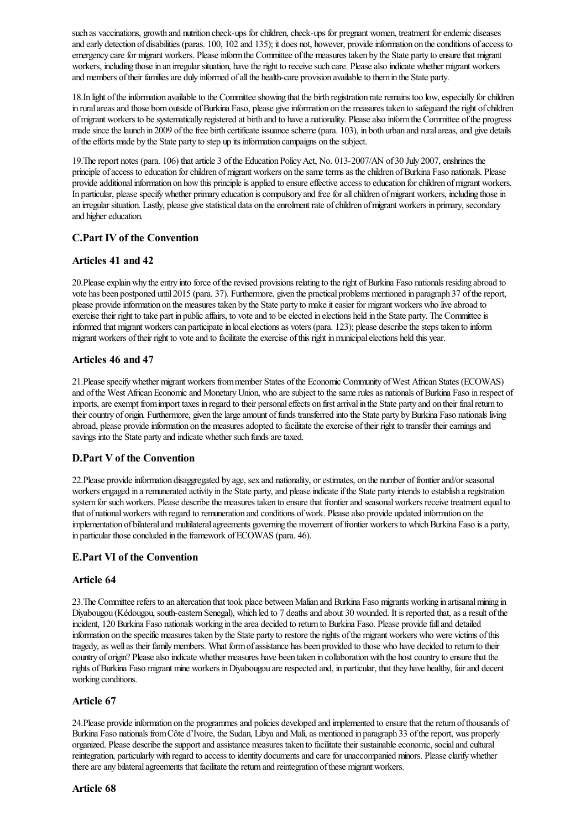such as vaccinations, growth and nutrition check-ups for children, check-ups for pregnant women, treatment for endemic diseases and early detection of disabilities (paras. 100, 102 and 135); it does not, however, provide information on the conditions of access to emergency care for migrant workers. Please inform the Committee of the measures taken by the State party to ensure that migrant workers, including those in an irregular situation, have the right to receive such care. Please also indicate whether migrant workers and members of their families are duly informed of all the health-care provision available to them in the State party.

18.In light of the information available to the Committee showing that the birth registration rate remains too low, especially for children in rural areas and those born outside of Burkina Faso, please give information on the measures taken to safeguard the right of children ofmigrant workers to besystematically registered at birth and to havea nationality. Pleasealso informthe Committee ofthe progress made since the launch in 2009 of the free birth certificate issuance scheme (para. 103), in both urban and rural areas, and give details of the efforts made by the State party to step up its information campaigns on the subject.

19. The report notes (para. 106) that article 3 of the Education Policy Act, No. 013-2007/AN of 30 July 2007, enshrines the principle of access to education for children of migrant workers on the same terms as the children of Burkina Faso nationals. Please provide additional information on how this principle is applied to ensure effective access to education for children of migrant workers. In particular, please specify whether primary education is compulsory and free for all children of migrant workers, including those in an irregular situation. Lastly, please give statistical data on the enrolment rate of children of migrant workers in primary, secondary and higher education.

## **C.Part IV of the Convention**

## **Articles 41 and 42**

20. Please explain why the entry into force of the revised provisions relating to the right of Burkina Faso nationals residing abroad to vote has been postponed until 2015 (para. 37). Furthermore, given the practical problems mentioned in paragraph 37 ofthereport, please provide information on the measures taken by the State party to make it easier for migrant workers who live abroad to exercise their right to take part in public affairs, to vote and to be elected in elections held in the State party. The Committee is informed that migrant workers can participate in local elections as voters (para. 123); please describe the steps taken to inform migrant workers of their right to vote and to facilitate the exercise of this right in municipal elections held this year.

## **Articles 46 and 47**

21. Please specify whether migrant workers from member States of the Economic Community of West African States (ECOWAS) and of the West African Economic and Monetary Union, who are subject to the same rules as nationals of Burkina Faso in respect of imports, are exempt from import taxes in regard to their personal effects on first arrival in the State party and on their final return to their country of origin. Furthermore, given the large amount of funds transferred into the State party by Burkina Faso nationals living abroad, please provide information on the measures adopted to facilitate the exercise of their right to transfer their earnings and savings into the State party and indicate whether such funds are taxed.

## **D.Part V of the Convention**

22.Please provideinformation disaggregated by age, sex and nationality, orestimates, on the number offrontierand/or seasonal workers engaged in a remunerated activity in the State party, and please indicate if the State party intends to establish a registration system for such workers. Please describe the measures taken to ensure that frontier and seasonal workers receive treatment equal to that of national workers with regard to remuneration and conditions of work. Please also provide updated information on the implementation of bilateral and multilateral agreements governing the movement of frontier workers to which Burkina Faso is a party, in particular those concluded in the framework of ECOWAS (para. 46).

## **E.Part VI of the Convention**

## **Article 64**

23. The Committee refers to an altercation that took place between Malian and Burkina Faso migrants working in artisanal mining in Diyabougou (Kédougou, south-eastern Senegal), which led to 7 deaths and about 30 wounded. It is reported that, as a result of the incident, 120 Burkina Faso nationals working in the area decided to return to Burkina Faso. Please provide full and detailed information on the specific measures taken by the State party to restore the rights of the migrant workers who were victims of this tragedy, as well as their family members. What form of assistance has been provided to those who have decided to return to their country of origin? Please also indicate whether measures have been taken in collaboration with the host country to ensure that the rights of Burkina Faso migrant mine workers in Diyabougou are respected and, in particular, that they have healthy, fair and decent working conditions.

## **Article 67**

24. Please provide information on the programmes and policies developed and implemented to ensure that the return of thousands of Burkina Faso nationals from Côte d'Ivoire, the Sudan, Libya and Mali, as mentioned in paragraph 33 of the report, was properly organized. Please describe the support and assistance measures taken to facilitate their sustainable economic, social and cultural reintegration, particularly with regard to access to identity documents and care for unaccompanied minors. Please clarify whether there are any bilateral agreements that facilitate the return and reintegration of these migrant workers.